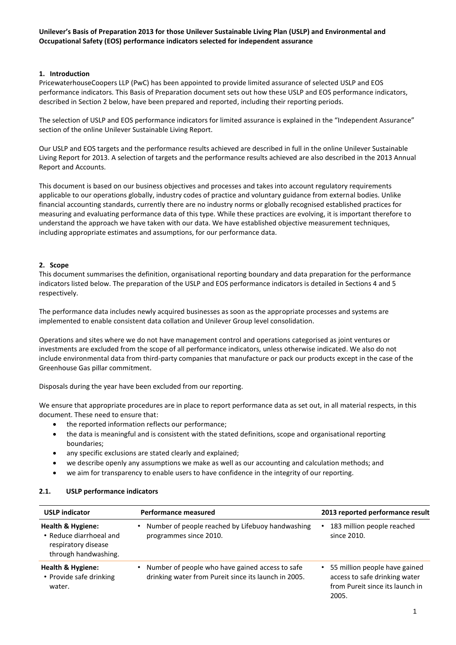### **1. Introduction**

PricewaterhouseCoopers LLP (PwC) has been appointed to provide limited assurance of selected USLP and EOS performance indicators. This Basis of Preparation document sets out how these USLP and EOS performance indicators, described in Section 2 below, have been prepared and reported, including their reporting periods.

The selection of USLP and EOS performance indicators for limited assurance is explained in the "Independent Assurance" section of the online Unilever Sustainable Living Report.

Our USLP and EOS targets and the performance results achieved are described in full in the online Unilever Sustainable Living Report for 2013. A selection of targets and the performance results achieved are also described in the 2013 Annual Report and Accounts.

This document is based on our business objectives and processes and takes into account regulatory requirements applicable to our operations globally, industry codes of practice and voluntary guidance from external bodies. Unlike financial accounting standards, currently there are no industry norms or globally recognised established practices for measuring and evaluating performance data of this type. While these practices are evolving, it is important therefore to understand the approach we have taken with our data. We have established objective measurement techniques, including appropriate estimates and assumptions, for our performance data.

### **2. Scope**

This document summarises the definition, organisational reporting boundary and data preparation for the performance indicators listed below. The preparation of the USLP and EOS performance indicators is detailed in Sections 4 and 5 respectively.

The performance data includes newly acquired businesses as soon as the appropriate processes and systems are implemented to enable consistent data collation and Unilever Group level consolidation.

Operations and sites where we do not have management control and operations categorised as joint ventures or investments are excluded from the scope of all performance indicators, unless otherwise indicated. We also do not include environmental data from third-party companies that manufacture or pack our products except in the case of the Greenhouse Gas pillar commitment.

Disposals during the year have been excluded from our reporting.

We ensure that appropriate procedures are in place to report performance data as set out, in all material respects, in this document. These need to ensure that:

- the reported information reflects our performance;
- the data is meaningful and is consistent with the stated definitions, scope and organisational reporting boundaries;
- any specific exclusions are stated clearly and explained;
- we describe openly any assumptions we make as well as our accounting and calculation methods; and
- we aim for transparency to enable users to have confidence in the integrity of our reporting.

| <b>USLP indicator</b>                                                                       | Performance measured                                                                                    | 2013 reported performance result                                                                             |  |  |
|---------------------------------------------------------------------------------------------|---------------------------------------------------------------------------------------------------------|--------------------------------------------------------------------------------------------------------------|--|--|
| Health & Hygiene:<br>• Reduce diarrhoeal and<br>respiratory disease<br>through handwashing. | Number of people reached by Lifebuoy handwashing<br>programmes since 2010.                              | 183 million people reached<br>since 2010.                                                                    |  |  |
| Health & Hygiene:<br>• Provide safe drinking<br>water.                                      | Number of people who have gained access to safe<br>drinking water from Pureit since its launch in 2005. | • 55 million people have gained<br>access to safe drinking water<br>from Pureit since its launch in<br>2005. |  |  |

### **2.1. USLP performance indicators**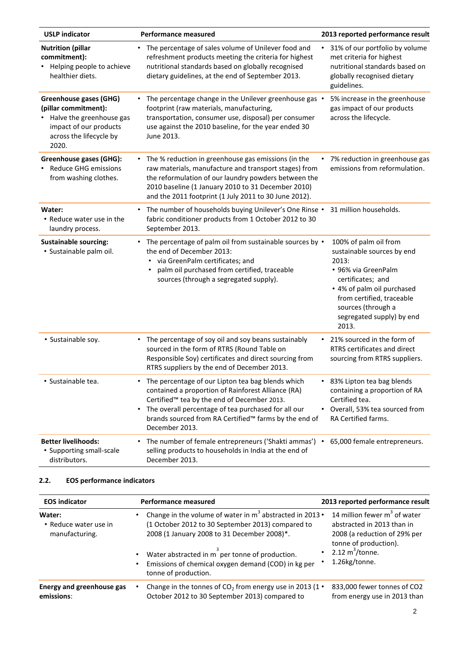| <b>USLP</b> indicator                                                                                                                           | <b>Performance measured</b>                                                                                                                                                                                                                                                                        | 2013 reported performance result                                                                                                                                                                                                |  |
|-------------------------------------------------------------------------------------------------------------------------------------------------|----------------------------------------------------------------------------------------------------------------------------------------------------------------------------------------------------------------------------------------------------------------------------------------------------|---------------------------------------------------------------------------------------------------------------------------------------------------------------------------------------------------------------------------------|--|
| <b>Nutrition (pillar</b><br>commitment):<br>Helping people to achieve<br>healthier diets.                                                       | The percentage of sales volume of Unilever food and<br>٠<br>refreshment products meeting the criteria for highest<br>nutritional standards based on globally recognised<br>dietary guidelines, at the end of September 2013.                                                                       | 31% of our portfolio by volume<br>٠<br>met criteria for highest<br>nutritional standards based on<br>globally recognised dietary<br>guidelines.                                                                                 |  |
| <b>Greenhouse gases (GHG)</b><br>(pillar commitment):<br>Halve the greenhouse gas<br>impact of our products<br>across the lifecycle by<br>2020. | The percentage change in the Unilever greenhouse gas •<br>footprint (raw materials, manufacturing,<br>transportation, consumer use, disposal) per consumer<br>use against the 2010 baseline, for the year ended 30<br>June 2013.                                                                   | 5% increase in the greenhouse<br>gas impact of our products<br>across the lifecycle.                                                                                                                                            |  |
| Greenhouse gases (GHG):<br><b>Reduce GHG emissions</b><br>from washing clothes.                                                                 | The % reduction in greenhouse gas emissions (in the<br>$\bullet$<br>raw materials, manufacture and transport stages) from<br>the reformulation of our laundry powders between the<br>2010 baseline (1 January 2010 to 31 December 2010)<br>and the 2011 footprint (1 July 2011 to 30 June 2012).   | 7% reduction in greenhouse gas<br>emissions from reformulation.                                                                                                                                                                 |  |
| Water:<br>• Reduce water use in the<br>laundry process.                                                                                         | The number of households buying Unilever's One Rinse .<br>٠<br>fabric conditioner products from 1 October 2012 to 30<br>September 2013.                                                                                                                                                            | 31 million households.                                                                                                                                                                                                          |  |
| <b>Sustainable sourcing:</b><br>· Sustainable palm oil.                                                                                         | The percentage of palm oil from sustainable sources by .<br>$\bullet$<br>the end of December 2013:<br>via GreenPalm certificates; and<br>palm oil purchased from certified, traceable<br>sources (through a segregated supply).                                                                    | 100% of palm oil from<br>sustainable sources by end<br>2013:<br>• 96% via GreenPalm<br>certificates; and<br>• 4% of palm oil purchased<br>from certified, traceable<br>sources (through a<br>segregated supply) by end<br>2013. |  |
| • Sustainable soy.                                                                                                                              | The percentage of soy oil and soy beans sustainably<br>$\bullet$<br>sourced in the form of RTRS (Round Table on<br>Responsible Soy) certificates and direct sourcing from<br>RTRS suppliers by the end of December 2013.                                                                           | 21% sourced in the form of<br>$\bullet$<br>RTRS certificates and direct<br>sourcing from RTRS suppliers.                                                                                                                        |  |
| • Sustainable tea.                                                                                                                              | The percentage of our Lipton tea bag blends which<br>٠<br>contained a proportion of Rainforest Alliance (RA)<br>Certified™ tea by the end of December 2013.<br>The overall percentage of tea purchased for all our<br>٠<br>brands sourced from RA Certified™ farms by the end of<br>December 2013. | 83% Lipton tea bag blends<br>$\bullet$<br>containing a proportion of RA<br>Certified tea.<br>Overall, 53% tea sourced from<br>RA Certified farms.                                                                               |  |
| <b>Better livelihoods:</b><br>• Supporting small-scale<br>distributors.                                                                         | The number of female entrepreneurs ('Shakti ammas') • 65,000 female entrepreneurs.<br>٠<br>selling products to households in India at the end of<br>December 2013.                                                                                                                                 |                                                                                                                                                                                                                                 |  |

# **2.2. EOS performance indicators**

| <b>EOS indicator</b>                              | <b>Performance measured</b>                                                                                                                                                                                                                                                           | 2013 reported performance result                                                                                                                             |  |
|---------------------------------------------------|---------------------------------------------------------------------------------------------------------------------------------------------------------------------------------------------------------------------------------------------------------------------------------------|--------------------------------------------------------------------------------------------------------------------------------------------------------------|--|
| Water:<br>• Reduce water use in<br>manufacturing. | Change in the volume of water in $m^3$ abstracted in 2013 •<br>(1 October 2012 to 30 September 2013) compared to<br>2008 (1 January 2008 to 31 December 2008)*.<br>Water abstracted in m <sup>2</sup> per tonne of production.<br>Emissions of chemical oxygen demand (COD) in kg per | 14 million fewer $m3$ of water<br>abstracted in 2013 than in<br>2008 (a reduction of 29% per<br>tonne of production).<br>2.12 $m^3$ /tonne.<br>1.26kg/tonne. |  |
| Energy and greenhouse gas                         | tonne of production.<br>Change in the tonnes of $CO2$ from energy use in 2013 (1 $\cdot$                                                                                                                                                                                              | 833,000 fewer tonnes of CO2                                                                                                                                  |  |
| emissions:                                        | October 2012 to 30 September 2013) compared to                                                                                                                                                                                                                                        | from energy use in 2013 than                                                                                                                                 |  |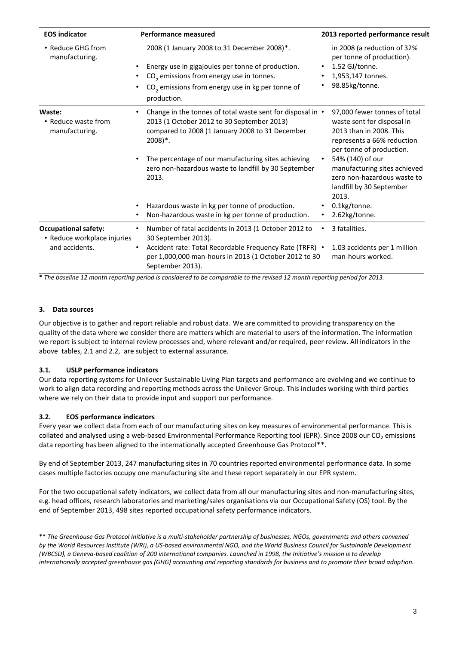| <b>EOS indicator</b>                                                         | <b>Performance measured</b>                                                                                                                                                                                                             | 2013 reported performance result                                                                                                                |  |
|------------------------------------------------------------------------------|-----------------------------------------------------------------------------------------------------------------------------------------------------------------------------------------------------------------------------------------|-------------------------------------------------------------------------------------------------------------------------------------------------|--|
| • Reduce GHG from<br>manufacturing.                                          | 2008 (1 January 2008 to 31 December 2008)*.<br>Energy use in gigajoules per tonne of production.<br>CO <sub>2</sub> emissions from energy use in tonnes.<br>CO <sub>2</sub> emissions from energy use in kg per tonne of<br>production. | in 2008 (a reduction of 32%<br>per tonne of production).<br>1.52 GJ/tonne.<br>$\bullet$<br>1,953,147 tonnes.<br>٠<br>98.85kg/tonne.<br>٠        |  |
| Waste:<br>• Reduce waste from<br>manufacturing.                              | Change in the tonnes of total waste sent for disposal in •<br>2013 (1 October 2012 to 30 September 2013)<br>compared to 2008 (1 January 2008 to 31 December<br>$2008$ <sup>*</sup> .                                                    | 97,000 fewer tonnes of total<br>waste sent for disposal in<br>2013 than in 2008. This<br>represents a 66% reduction<br>per tonne of production. |  |
|                                                                              | The percentage of our manufacturing sites achieving<br>zero non-hazardous waste to landfill by 30 September<br>2013.                                                                                                                    | 54% (140) of our<br>$\bullet$<br>manufacturing sites achieved<br>zero non-hazardous waste to<br>landfill by 30 September<br>2013.               |  |
|                                                                              | Hazardous waste in kg per tonne of production.<br>٠<br>Non-hazardous waste in kg per tonne of production.<br>٠                                                                                                                          | 0.1kg/tonne.<br>$\bullet$<br>2.62kg/tonne.<br>$\bullet$                                                                                         |  |
| <b>Occupational safety:</b><br>• Reduce workplace injuries<br>and accidents. | Number of fatal accidents in 2013 (1 October 2012 to<br>30 September 2013).                                                                                                                                                             | 3 fatalities.<br>$\bullet$                                                                                                                      |  |
|                                                                              | Accident rate: Total Recordable Frequency Rate (TRFR) .<br>per 1,000,000 man-hours in 2013 (1 October 2012 to 30<br>September 2013).                                                                                                    | 1.03 accidents per 1 million<br>man-hours worked.                                                                                               |  |

**\*** *The baseline 12 month reporting period is considered to be comparable to the revised 12 month reporting period for 2013.*

### **3. Data sources**

Our objective is to gather and report reliable and robust data. We are committed to providing transparency on the quality of the data where we consider there are matters which are material to users of the information. The information we report is subject to internal review processes and, where relevant and/or required, peer review. All indicators in the above tables, 2.1 and 2.2, are subject to external assurance.

### **3.1. USLP performance indicators**

Our data reporting systems for Unilever Sustainable Living Plan targets and performance are evolving and we continue to work to align data recording and reporting methods across the Unilever Group. This includes working with third parties where we rely on their data to provide input and support our performance.

#### **3.2. EOS performance indicators**

Every year we collect data from each of our manufacturing sites on key measures of environmental performance. This is collated and analysed using a web-based Environmental Performance Reporting tool (EPR). Since 2008 our  $CO<sub>2</sub>$  emissions data reporting has been aligned to the internationally accepted Greenhouse Gas Protocol\*\*.

By end of September 2013, 247 manufacturing sites in 70 countries reported environmental performance data. In some cases multiple factories occupy one manufacturing site and these report separately in our EPR system.

For the two occupational safety indicators, we collect data from all our manufacturing sites and non‐manufacturing sites, e.g. head offices, research laboratories and marketing/sales organisations via our Occupational Safety (OS) tool. By the end of September 2013, 498 sites reported occupational safety performance indicators.

\*\* *The Greenhouse Gas Protocol Initiative is a multi‐stakeholder partnership of businesses, NGOs, governments and others convened by the World Resources Institute (WRI), a US‐based environmental NGO, and the World Business Council for Sustainable Development (WBCSD), a Geneva‐based coalition of 200 international companies. Launched in 1998, the Initiative's mission is to develop internationally accepted greenhouse gas (GHG) accounting and reporting standards for business and to promote their broad adoption.*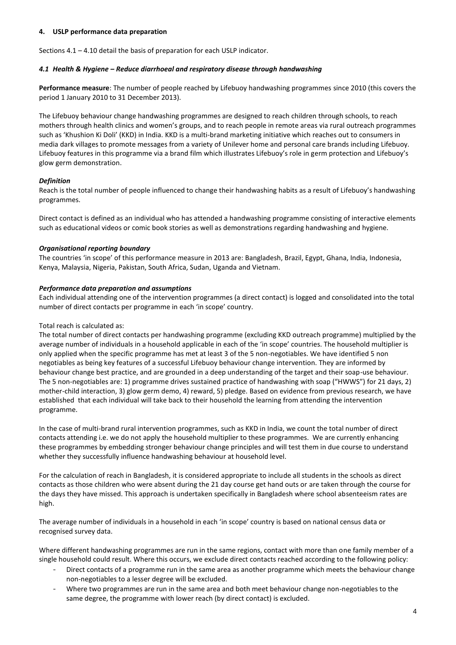### **4. USLP performance data preparation**

Sections 4.1 – 4.10 detail the basis of preparation for each USLP indicator.

### *4.1 Health & Hygiene – Reduce diarrhoeal and respiratory disease through handwashing*

**Performance measure**: The number of people reached by Lifebuoy handwashing programmes since 2010 (this covers the period 1 January 2010 to 31 December 2013).

The Lifebuoy behaviour change handwashing programmes are designed to reach children through schools, to reach mothers through health clinics and women's groups, and to reach people in remote areas via rural outreach programmes such as 'Khushion Ki Doli' (KKD) in India. KKD is a multi-brand marketing initiative which reaches out to consumers in media dark villages to promote messages from a variety of Unilever home and personal care brands including Lifebuoy. Lifebuoy features in this programme via a brand film which illustrates Lifebuoy's role in germ protection and Lifebuoy's glow germ demonstration.

# *Definition*

Reach is the total number of people influenced to change their handwashing habits as a result of Lifebuoy's handwashing programmes.

Direct contact is defined as an individual who has attended a handwashing programme consisting of interactive elements such as educational videos or comic book stories as well as demonstrations regarding handwashing and hygiene.

# *Organisational reporting boundary*

The countries 'in scope' of this performance measure in 2013 are: Bangladesh, Brazil, Egypt, Ghana, India, Indonesia, Kenya, Malaysia, Nigeria, Pakistan, South Africa, Sudan, Uganda and Vietnam.

# *Performance data preparation and assumptions*

Each individual attending one of the intervention programmes (a direct contact) is logged and consolidated into the total number of direct contacts per programme in each 'in scope' country.

# Total reach is calculated as:

The total number of direct contacts per handwashing programme (excluding KKD outreach programme) multiplied by the average number of individuals in a household applicable in each of the 'in scope' countries. The household multiplier is only applied when the specific programme has met at least 3 of the 5 non-negotiables. We have identified 5 non negotiables as being key features of a successful Lifebuoy behaviour change intervention. They are informed by behaviour change best practice, and are grounded in a deep understanding of the target and their soap-use behaviour. The 5 non-negotiables are: 1) programme drives sustained practice of handwashing with soap ("HWWS") for 21 days, 2) mother-child interaction, 3) glow germ demo, 4) reward, 5) pledge. Based on evidence from previous research, we have established that each individual will take back to their household the learning from attending the intervention programme.

In the case of multi-brand rural intervention programmes, such as KKD in India, we count the total number of direct contacts attending i.e. we do not apply the household multiplier to these programmes. We are currently enhancing these programmes by embedding stronger behaviour change principles and will test them in due course to understand whether they successfully influence handwashing behaviour at household level.

For the calculation of reach in Bangladesh, it is considered appropriate to include all students in the schools as direct contacts as those children who were absent during the 21 day course get hand outs or are taken through the course for the days they have missed. This approach is undertaken specifically in Bangladesh where school absenteeism rates are high.

The average number of individuals in a household in each 'in scope' country is based on national census data or recognised survey data.

Where different handwashing programmes are run in the same regions, contact with more than one family member of a single household could result. Where this occurs, we exclude direct contacts reached according to the following policy:

- Direct contacts of a programme run in the same area as another programme which meets the behaviour change non-negotiables to a lesser degree will be excluded.
- Where two programmes are run in the same area and both meet behaviour change non-negotiables to the same degree, the programme with lower reach (by direct contact) is excluded.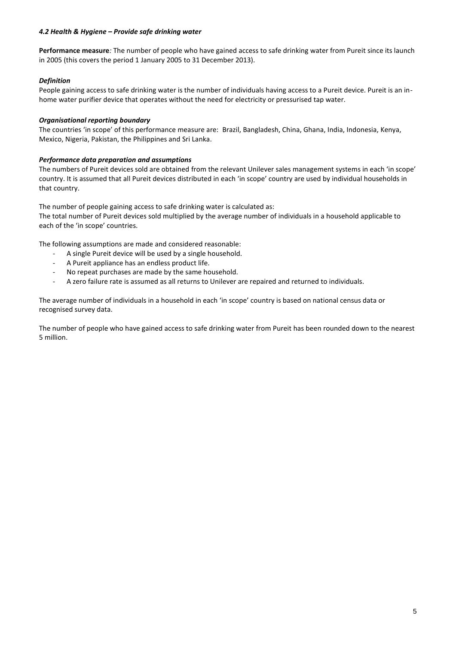### *4.2 Health & Hygiene – Provide safe drinking water*

**Performance measure***:* The number of people who have gained access to safe drinking water from Pureit since its launch in 2005 (this covers the period 1 January 2005 to 31 December 2013).

# *Definition*

People gaining access to safe drinking water is the number of individuals having access to a Pureit device. Pureit is an inhome water purifier device that operates without the need for electricity or pressurised tap water.

# *Organisational reporting boundary*

The countries 'in scope' of this performance measure are: Brazil, Bangladesh, China, Ghana, India, Indonesia, Kenya, Mexico, Nigeria, Pakistan, the Philippines and Sri Lanka.

### *Performance data preparation and assumptions*

The numbers of Pureit devices sold are obtained from the relevant Unilever sales management systems in each 'in scope' country. It is assumed that all Pureit devices distributed in each 'in scope' country are used by individual households in that country.

The number of people gaining access to safe drinking water is calculated as:

The total number of Pureit devices sold multiplied by the average number of individuals in a household applicable to each of the 'in scope' countries.

The following assumptions are made and considered reasonable:

- A single Pureit device will be used by a single household.
- A Pureit appliance has an endless product life.
- No repeat purchases are made by the same household.
- A zero failure rate is assumed as all returns to Unilever are repaired and returned to individuals.

The average number of individuals in a household in each 'in scope' country is based on national census data or recognised survey data.

The number of people who have gained access to safe drinking water from Pureit has been rounded down to the nearest 5 million.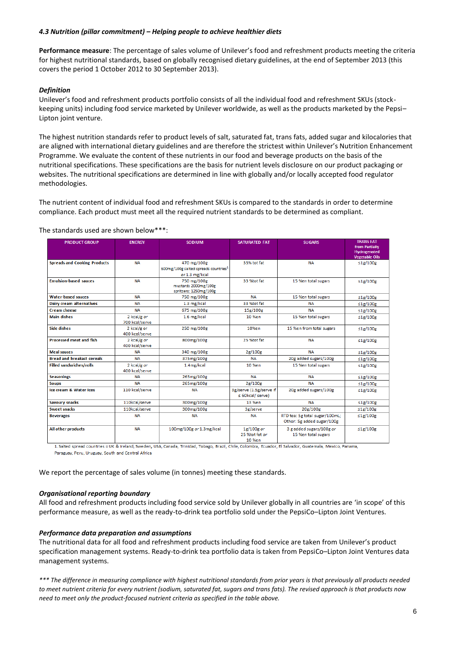### *4.3 Nutrition (pillar commitment) – Helping people to achieve healthier diets*

**Performance measure**: The percentage of sales volume of Unilever's food and refreshment products meeting the criteria for highest nutritional standards, based on globally recognised dietary guidelines, at the end of September 2013 (this covers the period 1 October 2012 to 30 September 2013).

### *Definition*

Unilever's food and refreshment products portfolio consists of all the individual food and refreshment SKUs (stockkeeping units) including food service marketed by Unilever worldwide, as well as the products marketed by the Pepsi– Lipton joint venture.

The highest nutrition standards refer to product levels of salt, saturated fat, trans fats, added sugar and kilocalories that are aligned with international dietary guidelines and are therefore the strictest within Unilever's Nutrition Enhancement Programme. We evaluate the content of these nutrients in our food and beverage products on the basis of the nutritional specifications. These specifications are the basis for nutrient levels disclosure on our product packaging or websites. The nutritional specifications are determined in line with globally and/or locally accepted food regulator methodologies.

The nutrient content of individual food and refreshment SKUs is compared to the standards in order to determine compliance. Each product must meet all the required nutrient standards to be determined as compliant.

#### The standards used are shown below\*\*\*:

| <b>PRODUCT GROUP</b>                | <b>ENERGY</b>                 | <b>SODIUM</b>                                                 | <b>SATURATED FAT</b>                            | <b>SUGARS</b>                  | <b>TRANS FAT</b><br>from Partially           |
|-------------------------------------|-------------------------------|---------------------------------------------------------------|-------------------------------------------------|--------------------------------|----------------------------------------------|
|                                     |                               |                                                               |                                                 |                                | <b>Hydrogenated</b><br><b>Vegetable Oils</b> |
| <b>Spreads and Cooking Products</b> | <b>NA</b>                     | 470 mg/100g                                                   | 33% tot fat                                     | <b>NA</b>                      | $\leq$ 1g/100g                               |
|                                     |                               | 600mg/100g salted spreads countries <sup>1</sup>              |                                                 |                                |                                              |
|                                     |                               | or 1.3 mg/kcal                                                |                                                 |                                |                                              |
| <b>Emulsion-based sauces</b>        | <b>NA</b>                     | 750 mg/100g<br>mustards 2000mg/100g<br>spritzers: 1250mg/100g | 33 %tot fat                                     | 15 %en total sugars            | $\leq$ 1g/100g                               |
| <b>Water-based sauces</b>           | <b>NA</b>                     | 750 mg/100g                                                   | <b>NA</b>                                       | 15 %en total sugars            | $\leq$ 1g/100g                               |
| Dairy cream alternatives            | <b>NA</b>                     | 1.3 mg/kcal                                                   | 33 %tot fat                                     | NΑ                             | ≤1g/100g                                     |
| <b>Cream cheese</b>                 | <b>NA</b>                     | 675 mg/100g                                                   | 15g/100g                                        | <b>ΝΑ</b>                      | $\leq$ 1g/100g                               |
| <b>Main dishes</b>                  | 2 kcal/g or<br>700 kcal/serve | 1.6 mg/kcal                                                   | 10 %en                                          | 15 %en total sugars            | $\leq$ 1g/100g                               |
| <b>Side dishes</b>                  | 2 kcal/g or<br>400 kcal/serve | 250 mg/100g                                                   | 10%en                                           | 15 %en from total sugars       | $\leq$ 1g/100g                               |
| <b>Processed meat and fish</b>      | 2 kcal/g or<br>400 kcal/serve | 800mg/100g                                                    | 25 %tot fat                                     | <b>NA</b>                      | $\leq$ 1g/100g                               |
| <b>Meal sauces</b>                  | <b>NA</b>                     | 340 mg/100g                                                   | 2g/100g                                         | <b>NA</b>                      | ≤1g/100g                                     |
| <b>Bread and breakast cereals</b>   | <b>NA</b>                     | 375mg/100g                                                    | <b>NA</b>                                       | 20g added sugars/100g          | ≤1g/100g                                     |
| <b>Filled sandwiches/rolls</b>      | 2 kcal/g or<br>400 kcal/serve | 1.4mg/kcal                                                    | 10 %en                                          | 15 %en total sugars            | ≤1g/100g                                     |
| <b>Seasonings</b>                   | <b>NA</b>                     | 265mg/100g                                                    | <b>NA</b>                                       | <b>NA</b>                      | ≤1g/100g                                     |
| <b>Soups</b>                        | <b>NA</b>                     | 265mg/100g                                                    | 2g/100g                                         | <b>NA</b>                      | ≤1g/100g                                     |
| Ice cream & Water Ices              | 110 kcal/serve                | <b>NA</b>                                                     | 3g/serve (1.5g/serve if<br>$\leq$ 60kcal/serve) | 20g added sugars/100g          | ≤1g/100g                                     |
| <b>Savoury snacks</b>               | 110kcal/serve                 | 300mg/100g                                                    | 13 %en                                          | <b>NA</b>                      | $\leq$ 1g/100g                               |
| <b>Sweet snacks</b>                 | 110kcal/serve                 | 300mg/100g                                                    | 3g/serve                                        | 20g/100g                       | ≤1g/100g                                     |
| <b>Beverages</b>                    | <b>NA</b>                     | <b>NA</b>                                                     | <b>NA</b>                                       | RTD tea: 5g total sugar/100mL; | $\leq$ 1g/100g                               |
|                                     |                               |                                                               |                                                 | Other: 5g added sugar/100g     |                                              |
| All other products                  | <b>NA</b>                     | 100mg/100g or 1.3mg/kcal                                      | $1g/100g$ or                                    | 3 g added sugars/100g or       | ≤1g/100g                                     |
|                                     |                               |                                                               | 25 %tot fat or                                  | 15 %en total sugars            |                                              |
|                                     |                               |                                                               | 10 %en                                          |                                |                                              |

1. Salted spread countries = UK & Ireland, Sweden, USA, Canada, Trinidad, Tobago, Brazil, Chile, Colombia, Ecuador, El Salvador, Guatemala, Mexico, Panama, Paraguay, Peru, Uruguay, South and Central Africa

We report the percentage of sales volume (in tonnes) meeting these standards.

### *Organisational reporting boundary*

All food and refreshment products including food service sold by Unilever globally in all countries are 'in scope' of this performance measure, as well as the ready-to-drink tea portfolio sold under the PepsiCo–Lipton Joint Ventures.

#### *Performance data preparation and assumptions*

The nutritional data for all food and refreshment products including food service are taken from Unilever's product specification management systems. Ready-to-drink tea portfolio data is taken from PepsiCo–Lipton Joint Ventures data management systems.

*\*\*\* The difference in measuring compliance with highest nutritional standards from prior years is that previously all products needed to meet nutrient criteria for every nutrient (sodium, saturated fat, sugars and trans fats). The revised approach is that products now need to meet only the product-focused nutrient criteria as specified in the table above.*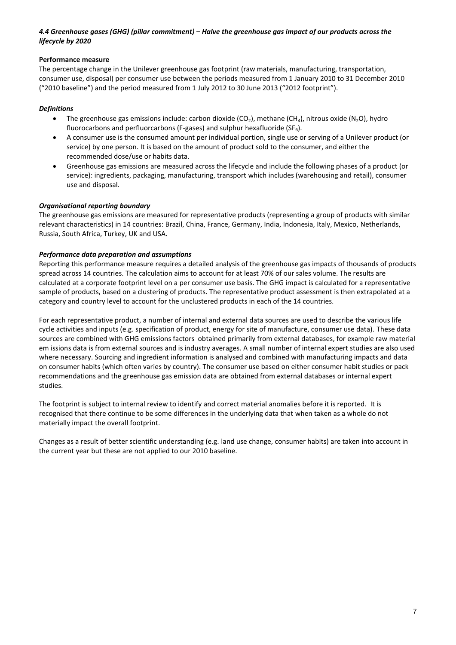# *4.4 Greenhouse gases (GHG) (pillar commitment) – Halve the greenhouse gas impact of our products across the lifecycle by 2020*

# **Performance measure**

The percentage change in the Unilever greenhouse gas footprint (raw materials, manufacturing, transportation, consumer use, disposal) per consumer use between the periods measured from 1 January 2010 to 31 December 2010 ("2010 baseline") and the period measured from 1 July 2012 to 30 June 2013 ("2012 footprint").

# *Definitions*

- The greenhouse gas emissions include: carbon dioxide (CO<sub>2</sub>), methane (CH<sub>4</sub>), nitrous oxide (N<sub>2</sub>O), hydro fluorocarbons and perfluorcarbons (F-gases) and sulphur hexafluoride (SF $_6$ ).
- A consumer use is the consumed amount per individual portion, single use or serving of a Unilever product (or service) by one person. It is based on the amount of product sold to the consumer, and either the recommended dose/use or habits data.
- Greenhouse gas emissions are measured across the lifecycle and include the following phases of a product (or service): ingredients, packaging, manufacturing, transport which includes (warehousing and retail), consumer use and disposal.

# *Organisational reporting boundary*

The greenhouse gas emissions are measured for representative products (representing a group of products with similar relevant characteristics) in 14 countries: Brazil, China, France, Germany, India, Indonesia, Italy, Mexico, Netherlands, Russia, South Africa, Turkey, UK and USA.

### *Performance data preparation and assumptions*

Reporting this performance measure requires a detailed analysis of the greenhouse gas impacts of thousands of products spread across 14 countries. The calculation aims to account for at least 70% of our sales volume. The results are calculated at a corporate footprint level on a per consumer use basis. The GHG impact is calculated for a representative sample of products, based on a clustering of products. The representative product assessment is then extrapolated at a category and country level to account for the unclustered products in each of the 14 countries.

For each representative product, a number of internal and external data sources are used to describe the various life cycle activities and inputs (e.g. specification of product, energy for site of manufacture, consumer use data). These data sources are combined with GHG emissions factors obtained primarily from external databases, for example raw material em issions data is from external sources and is industry averages. A small number of internal expert studies are also used where necessary. Sourcing and ingredient information is analysed and combined with manufacturing impacts and data on consumer habits (which often varies by country). The consumer use based on either consumer habit studies or pack recommendations and the greenhouse gas emission data are obtained from external databases or internal expert studies.

The footprint is subject to internal review to identify and correct material anomalies before it is reported. It is recognised that there continue to be some differences in the underlying data that when taken as a whole do not materially impact the overall footprint.

Changes as a result of better scientific understanding (e.g. land use change, consumer habits) are taken into account in the current year but these are not applied to our 2010 baseline.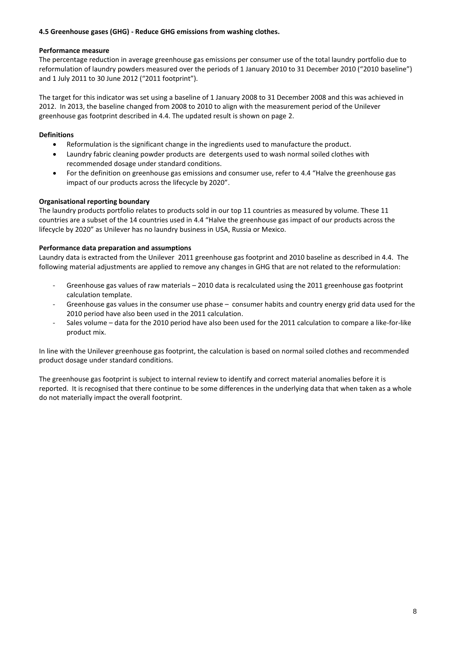# **4.5 Greenhouse gases (GHG) - Reduce GHG emissions from washing clothes.**

# **Performance measure**

The percentage reduction in average greenhouse gas emissions per consumer use of the total laundry portfolio due to reformulation of laundry powders measured over the periods of 1 January 2010 to 31 December 2010 ("2010 baseline") and 1 July 2011 to 30 June 2012 ("2011 footprint").

The target for this indicator was set using a baseline of 1 January 2008 to 31 December 2008 and this was achieved in 2012. In 2013, the baseline changed from 2008 to 2010 to align with the measurement period of the Unilever greenhouse gas footprint described in 4.4. The updated result is shown on page 2.

# **Definitions**

- Reformulation is the significant change in the ingredients used to manufacture the product.
- Laundry fabric cleaning powder products are detergents used to wash normal soiled clothes with recommended dosage under standard conditions.
- For the definition on greenhouse gas emissions and consumer use, refer to 4.4 "Halve the greenhouse gas impact of our products across the lifecycle by 2020".

# **Organisational reporting boundary**

The laundry products portfolio relates to products sold in our top 11 countries as measured by volume. These 11 countries are a subset of the 14 countries used in 4.4 "Halve the greenhouse gas impact of our products across the lifecycle by 2020" as Unilever has no laundry business in USA, Russia or Mexico.

# **Performance data preparation and assumptions**

Laundry data is extracted from the Unilever 2011 greenhouse gas footprint and 2010 baseline as described in 4.4. The following material adjustments are applied to remove any changes in GHG that are not related to the reformulation:

- Greenhouse gas values of raw materials 2010 data is recalculated using the 2011 greenhouse gas footprint calculation template.
- Greenhouse gas values in the consumer use phase consumer habits and country energy grid data used for the 2010 period have also been used in the 2011 calculation.
- Sales volume data for the 2010 period have also been used for the 2011 calculation to compare a like-for-like product mix.

In line with the Unilever greenhouse gas footprint, the calculation is based on normal soiled clothes and recommended product dosage under standard conditions.

The greenhouse gas footprint is subject to internal review to identify and correct material anomalies before it is reported. It is recognised that there continue to be some differences in the underlying data that when taken as a whole do not materially impact the overall footprint.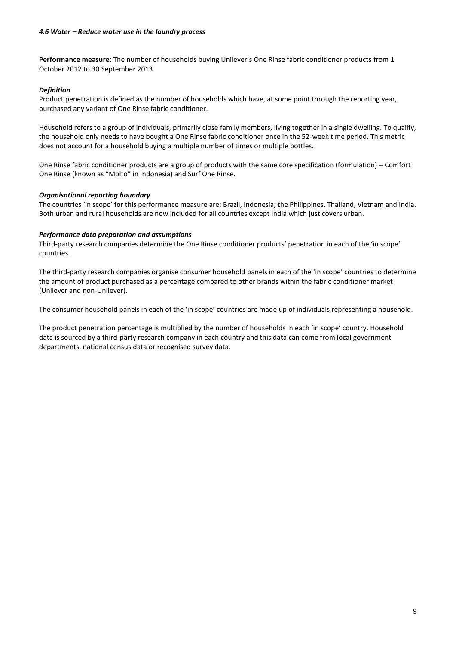**Performance measure**: The number of households buying Unilever's One Rinse fabric conditioner products from 1 October 2012 to 30 September 2013.

### *Definition*

Product penetration is defined as the number of households which have, at some point through the reporting year, purchased any variant of One Rinse fabric conditioner.

Household refers to a group of individuals, primarily close family members, living together in a single dwelling. To qualify, the household only needs to have bought a One Rinse fabric conditioner once in the 52-week time period. This metric does not account for a household buying a multiple number of times or multiple bottles.

One Rinse fabric conditioner products are a group of products with the same core specification (formulation) – Comfort One Rinse (known as "Molto" in Indonesia) and Surf One Rinse.

# *Organisational reporting boundary*

The countries 'in scope' for this performance measure are: Brazil, Indonesia, the Philippines, Thailand, Vietnam and India. Both urban and rural households are now included for all countries except India which just covers urban.

### *Performance data preparation and assumptions*

Third-party research companies determine the One Rinse conditioner products' penetration in each of the 'in scope' countries.

The third-party research companies organise consumer household panels in each of the 'in scope' countries to determine the amount of product purchased as a percentage compared to other brands within the fabric conditioner market (Unilever and non-Unilever).

The consumer household panels in each of the 'in scope' countries are made up of individuals representing a household.

The product penetration percentage is multiplied by the number of households in each 'in scope' country. Household data is sourced by a third-party research company in each country and this data can come from local government departments, national census data or recognised survey data.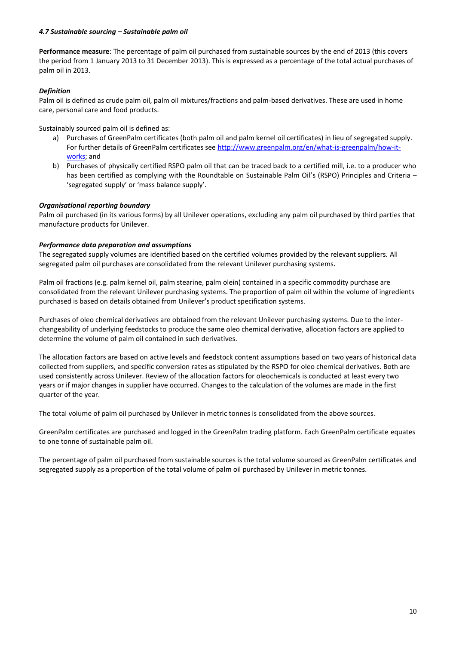### *4.7 Sustainable sourcing – Sustainable palm oil*

**Performance measure**: The percentage of palm oil purchased from sustainable sources by the end of 2013 (this covers the period from 1 January 2013 to 31 December 2013). This is expressed as a percentage of the total actual purchases of palm oil in 2013.

### *Definition*

Palm oil is defined as crude palm oil, palm oil mixtures/fractions and palm-based derivatives. These are used in home care, personal care and food products.

Sustainably sourced palm oil is defined as:

- a) Purchases of GreenPalm certificates (both palm oil and palm kernel oil certificates) in lieu of segregated supply. For further details of GreenPalm certificates see [http://www.greenpalm.org/en/what-is-greenpalm/how-it](http://www.greenpalm.org/en/what-is-greenpalm/how-it-works)[works;](http://www.greenpalm.org/en/what-is-greenpalm/how-it-works) and
- b) Purchases of physically certified RSPO palm oil that can be traced back to a certified mill, i.e. to a producer who has been certified as complying with the Roundtable on Sustainable Palm Oil's (RSPO) Principles and Criteria -'segregated supply' or 'mass balance supply'.

# *Organisational reporting boundary*

Palm oil purchased (in its various forms) by all Unilever operations, excluding any palm oil purchased by third parties that manufacture products for Unilever.

### *Performance data preparation and assumptions*

The segregated supply volumes are identified based on the certified volumes provided by the relevant suppliers. All segregated palm oil purchases are consolidated from the relevant Unilever purchasing systems.

Palm oil fractions (e.g. palm kernel oil, palm stearine, palm olein) contained in a specific commodity purchase are consolidated from the relevant Unilever purchasing systems. The proportion of palm oil within the volume of ingredients purchased is based on details obtained from Unilever's product specification systems.

Purchases of oleo chemical derivatives are obtained from the relevant Unilever purchasing systems. Due to the interchangeability of underlying feedstocks to produce the same oleo chemical derivative, allocation factors are applied to determine the volume of palm oil contained in such derivatives.

The allocation factors are based on active levels and feedstock content assumptions based on two years of historical data collected from suppliers, and specific conversion rates as stipulated by the RSPO for oleo chemical derivatives. Both are used consistently across Unilever. Review of the allocation factors for oleochemicals is conducted at least every two years or if major changes in supplier have occurred. Changes to the calculation of the volumes are made in the first quarter of the year.

The total volume of palm oil purchased by Unilever in metric tonnes is consolidated from the above sources.

GreenPalm certificates are purchased and logged in the GreenPalm trading platform. Each GreenPalm certificate equates to one tonne of sustainable palm oil.

The percentage of palm oil purchased from sustainable sources is the total volume sourced as GreenPalm certificates and segregated supply as a proportion of the total volume of palm oil purchased by Unilever in metric tonnes.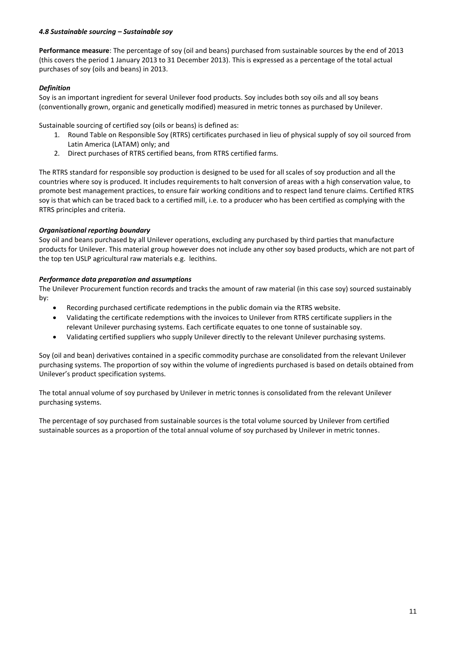### *4.8 Sustainable sourcing – Sustainable soy*

**Performance measure**: The percentage of soy (oil and beans) purchased from sustainable sources by the end of 2013 (this covers the period 1 January 2013 to 31 December 2013). This is expressed as a percentage of the total actual purchases of soy (oils and beans) in 2013.

# *Definition*

Soy is an important ingredient for several Unilever food products. Soy includes both soy oils and all soy beans (conventionally grown, organic and genetically modified) measured in metric tonnes as purchased by Unilever.

Sustainable sourcing of certified soy (oils or beans) is defined as:

- 1. Round Table on Responsible Soy (RTRS) certificates purchased in lieu of physical supply of soy oil sourced from Latin America (LATAM) only; and
- 2. Direct purchases of RTRS certified beans, from RTRS certified farms.

The RTRS standard for responsible soy production is designed to be used for all scales of soy production and all the countries where soy is produced. It includes requirements to halt conversion of areas with a high conservation value, to promote best management practices, to ensure fair working conditions and to respect land tenure claims. Certified RTRS soy is that which can be traced back to a certified mill, i.e. to a producer who has been certified as complying with the RTRS principles and criteria.

# *Organisational reporting boundary*

Soy oil and beans purchased by all Unilever operations, excluding any purchased by third parties that manufacture products for Unilever. This material group however does not include any other soy based products, which are not part of the top ten USLP agricultural raw materials e.g. lecithins.

# *Performance data preparation and assumptions*

The Unilever Procurement function records and tracks the amount of raw material (in this case soy) sourced sustainably by:

- Recording purchased certificate redemptions in the public domain via the RTRS website.
- Validating the certificate redemptions with the invoices to Unilever from RTRS certificate suppliers in the relevant Unilever purchasing systems. Each certificate equates to one tonne of sustainable soy.
- Validating certified suppliers who supply Unilever directly to the relevant Unilever purchasing systems.

Soy (oil and bean) derivatives contained in a specific commodity purchase are consolidated from the relevant Unilever purchasing systems. The proportion of soy within the volume of ingredients purchased is based on details obtained from Unilever's product specification systems.

The total annual volume of soy purchased by Unilever in metric tonnes is consolidated from the relevant Unilever purchasing systems.

The percentage of soy purchased from sustainable sources is the total volume sourced by Unilever from certified sustainable sources as a proportion of the total annual volume of soy purchased by Unilever in metric tonnes.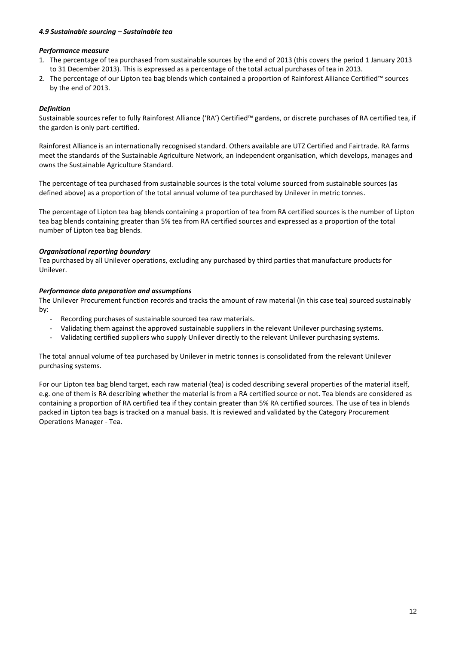### *4.9 Sustainable sourcing – Sustainable tea*

### *Performance measure*

- 1. The percentage of tea purchased from sustainable sources by the end of 2013 (this covers the period 1 January 2013 to 31 December 2013). This is expressed as a percentage of the total actual purchases of tea in 2013.
- 2. The percentage of our Lipton tea bag blends which contained a proportion of Rainforest Alliance Certified™ sources by the end of 2013.

# *Definition*

Sustainable sources refer to fully Rainforest Alliance ('RA') Certified™ gardens, or discrete purchases of RA certified tea, if the garden is only part-certified.

Rainforest Alliance is an internationally recognised standard. Others available are UTZ Certified and Fairtrade. RA farms meet the standards of the Sustainable Agriculture Network, an independent organisation, which develops, manages and owns the Sustainable Agriculture Standard.

The percentage of tea purchased from sustainable sources is the total volume sourced from sustainable sources (as defined above) as a proportion of the total annual volume of tea purchased by Unilever in metric tonnes.

The percentage of Lipton tea bag blends containing a proportion of tea from RA certified sources is the number of Lipton tea bag blends containing greater than 5% tea from RA certified sources and expressed as a proportion of the total number of Lipton tea bag blends.

# *Organisational reporting boundary*

Tea purchased by all Unilever operations, excluding any purchased by third parties that manufacture products for Unilever.

# *Performance data preparation and assumptions*

The Unilever Procurement function records and tracks the amount of raw material (in this case tea) sourced sustainably by:

- ‐ Recording purchases of sustainable sourced tea raw materials.
- ‐ Validating them against the approved sustainable suppliers in the relevant Unilever purchasing systems.
- ‐ Validating certified suppliers who supply Unilever directly to the relevant Unilever purchasing systems.

The total annual volume of tea purchased by Unilever in metric tonnes is consolidated from the relevant Unilever purchasing systems.

For our Lipton tea bag blend target, each raw material (tea) is coded describing several properties of the material itself, e.g. one of them is RA describing whether the material is from a RA certified source or not. Tea blends are considered as containing a proportion of RA certified tea if they contain greater than 5% RA certified sources. The use of tea in blends packed in Lipton tea bags is tracked on a manual basis. It is reviewed and validated by the Category Procurement Operations Manager - Tea.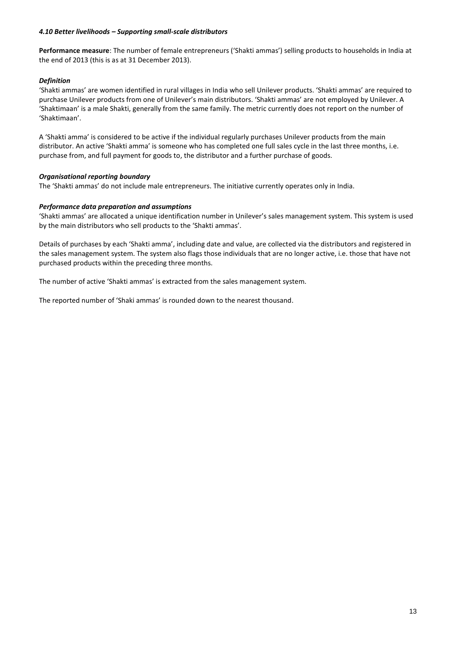### *4.10 Better livelihoods – Supporting small-scale distributors*

**Performance measure**: The number of female entrepreneurs ('Shakti ammas') selling products to households in India at the end of 2013 (this is as at 31 December 2013).

### *Definition*

'Shakti ammas' are women identified in rural villages in India who sell Unilever products. 'Shakti ammas' are required to purchase Unilever products from one of Unilever's main distributors. 'Shakti ammas' are not employed by Unilever. A 'Shaktimaan' is a male Shakti, generally from the same family. The metric currently does not report on the number of 'Shaktimaan'.

A 'Shakti amma' is considered to be active if the individual regularly purchases Unilever products from the main distributor. An active 'Shakti amma' is someone who has completed one full sales cycle in the last three months, i.e. purchase from, and full payment for goods to, the distributor and a further purchase of goods.

### *Organisational reporting boundary*

The 'Shakti ammas' do not include male entrepreneurs. The initiative currently operates only in India.

### *Performance data preparation and assumptions*

'Shakti ammas' are allocated a unique identification number in Unilever's sales management system. This system is used by the main distributors who sell products to the 'Shakti ammas'.

Details of purchases by each 'Shakti amma', including date and value, are collected via the distributors and registered in the sales management system. The system also flags those individuals that are no longer active, i.e. those that have not purchased products within the preceding three months.

The number of active 'Shakti ammas' is extracted from the sales management system.

The reported number of 'Shaki ammas' is rounded down to the nearest thousand.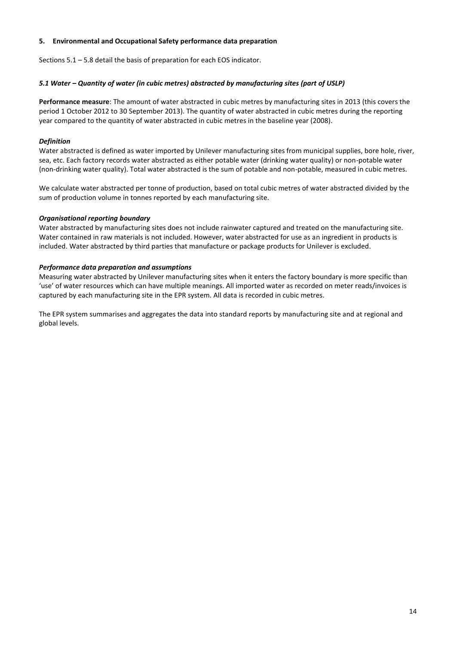### **5. Environmental and Occupational Safety performance data preparation**

Sections 5.1 – 5.8 detail the basis of preparation for each EOS indicator.

# *5.1 Water – Quantity of water (in cubic metres) abstracted by manufacturing sites (part of USLP)*

**Performance measure**: The amount of water abstracted in cubic metres by manufacturing sites in 2013 (this covers the period 1 October 2012 to 30 September 2013). The quantity of water abstracted in cubic metres during the reporting year compared to the quantity of water abstracted in cubic metres in the baseline year (2008).

# *Definition*

Water abstracted is defined as water imported by Unilever manufacturing sites from municipal supplies, bore hole, river, sea, etc. Each factory records water abstracted as either potable water (drinking water quality) or non-potable water (non-drinking water quality). Total water abstracted is the sum of potable and non-potable, measured in cubic metres.

We calculate water abstracted per tonne of production, based on total cubic metres of water abstracted divided by the sum of production volume in tonnes reported by each manufacturing site.

# *Organisational reporting boundary*

Water abstracted by manufacturing sites does not include rainwater captured and treated on the manufacturing site. Water contained in raw materials is not included. However, water abstracted for use as an ingredient in products is included. Water abstracted by third parties that manufacture or package products for Unilever is excluded.

# *Performance data preparation and assumptions*

Measuring water abstracted by Unilever manufacturing sites when it enters the factory boundary is more specific than 'use' of water resources which can have multiple meanings. All imported water as recorded on meter reads/invoices is captured by each manufacturing site in the EPR system. All data is recorded in cubic metres.

The EPR system summarises and aggregates the data into standard reports by manufacturing site and at regional and global levels.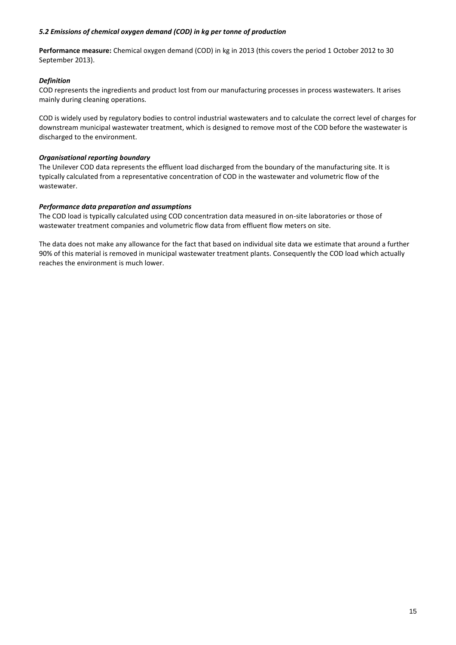### *5.2 Emissions of chemical oxygen demand (COD) in kg per tonne of production*

**Performance measure:** Chemical oxygen demand (COD) in kg in 2013 (this covers the period 1 October 2012 to 30 September 2013).

# *Definition*

COD represents the ingredients and product lost from our manufacturing processes in process wastewaters. It arises mainly during cleaning operations.

COD is widely used by regulatory bodies to control industrial wastewaters and to calculate the correct level of charges for downstream municipal wastewater treatment, which is designed to remove most of the COD before the wastewater is discharged to the environment.

# *Organisational reporting boundary*

The Unilever COD data represents the effluent load discharged from the boundary of the manufacturing site. It is typically calculated from a representative concentration of COD in the wastewater and volumetric flow of the wastewater.

# *Performance data preparation and assumptions*

The COD load is typically calculated using COD concentration data measured in on-site laboratories or those of wastewater treatment companies and volumetric flow data from effluent flow meters on site.

The data does not make any allowance for the fact that based on individual site data we estimate that around a further 90% of this material is removed in municipal wastewater treatment plants. Consequently the COD load which actually reaches the environment is much lower.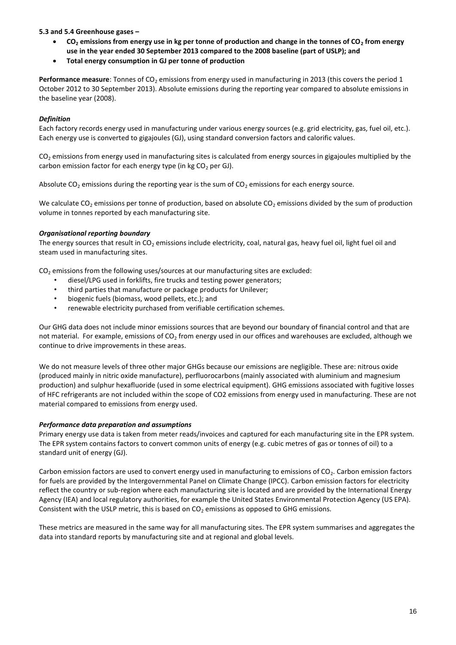# **5.3 and 5.4 Greenhouse gases –**

- **CO<sup>2</sup> emissions from energy use in kg per tonne of production and change in the tonnes of CO<sup>2</sup> from energy use in the year ended 30 September 2013 compared to the 2008 baseline (part of USLP); and**
- **Total energy consumption in GJ per tonne of production**

**Performance measure**: Tonnes of CO<sub>2</sub> emissions from energy used in manufacturing in 2013 (this covers the period 1 October 2012 to 30 September 2013). Absolute emissions during the reporting year compared to absolute emissions in the baseline year (2008).

# *Definition*

Each factory records energy used in manufacturing under various energy sources (e.g. grid electricity, gas, fuel oil, etc.). Each energy use is converted to gigajoules (GJ), using standard conversion factors and calorific values.

CO<sub>2</sub> emissions from energy used in manufacturing sites is calculated from energy sources in gigajoules multiplied by the carbon emission factor for each energy type (in kg  $CO<sub>2</sub>$  per GJ).

Absolute  $CO<sub>2</sub>$  emissions during the reporting year is the sum of  $CO<sub>2</sub>$  emissions for each energy source.

We calculate  $CO<sub>2</sub>$  emissions per tonne of production, based on absolute  $CO<sub>2</sub>$  emissions divided by the sum of production volume in tonnes reported by each manufacturing site.

# *Organisational reporting boundary*

The energy sources that result in  $CO<sub>2</sub>$  emissions include electricity, coal, natural gas, heavy fuel oil, light fuel oil and steam used in manufacturing sites.

 $CO<sub>2</sub>$  emissions from the following uses/sources at our manufacturing sites are excluded:

- diesel/LPG used in forklifts, fire trucks and testing power generators;
- third parties that manufacture or package products for Unilever;
- biogenic fuels (biomass, wood pellets, etc.); and
- renewable electricity purchased from verifiable certification schemes.

Our GHG data does not include minor emissions sources that are beyond our boundary of financial control and that are not material. For example, emissions of  $CO<sub>2</sub>$  from energy used in our offices and warehouses are excluded, although we continue to drive improvements in these areas.

We do not measure levels of three other major GHGs because our emissions are negligible. These are: nitrous oxide (produced mainly in nitric oxide manufacture), perfluorocarbons (mainly associated with aluminium and magnesium production) and sulphur hexafluoride (used in some electrical equipment). GHG emissions associated with fugitive losses of HFC refrigerants are not included within the scope of CO2 emissions from energy used in manufacturing. These are not material compared to emissions from energy used.

### *Performance data preparation and assumptions*

Primary energy use data is taken from meter reads/invoices and captured for each manufacturing site in the EPR system. The EPR system contains factors to convert common units of energy (e.g. cubic metres of gas or tonnes of oil) to a standard unit of energy (GJ).

Carbon emission factors are used to convert energy used in manufacturing to emissions of  $CO<sub>2</sub>$ . Carbon emission factors for fuels are provided by the Intergovernmental Panel on Climate Change (IPCC). Carbon emission factors for electricity reflect the country or sub-region where each manufacturing site is located and are provided by the International Energy Agency (IEA) and local regulatory authorities, for example the United States Environmental Protection Agency (US EPA). Consistent with the USLP metric, this is based on  $CO<sub>2</sub>$  emissions as opposed to GHG emissions.

These metrics are measured in the same way for all manufacturing sites. The EPR system summarises and aggregates the data into standard reports by manufacturing site and at regional and global levels.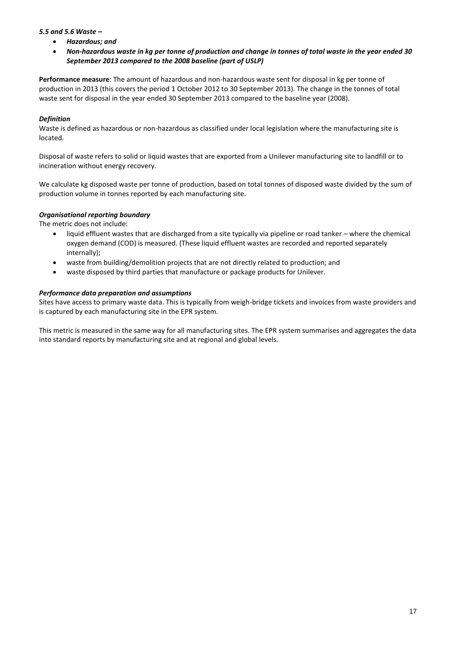# *5.5 and 5.6 Waste –*

- *Hazardous; and*
- *Non-hazardous waste in kg per tonne of production and change in tonnes of total waste in the year ended 30 September 2013 compared to the 2008 baseline (part of USLP)*

**Performance measure**: The amount of hazardous and non-hazardous waste sent for disposal in kg per tonne of production in 2013 (this covers the period 1 October 2012 to 30 September 2013). The change in the tonnes of total waste sent for disposal in the year ended 30 September 2013 compared to the baseline year (2008).

# *Definition*

Waste is defined as hazardous or non-hazardous as classified under local legislation where the manufacturing site is located.

Disposal of waste refers to solid or liquid wastes that are exported from a Unilever manufacturing site to landfill or to incineration without energy recovery.

We calculate kg disposed waste per tonne of production, based on total tonnes of disposed waste divided by the sum of production volume in tonnes reported by each manufacturing site.

# *Organisational reporting boundary*

The metric does not include:

- liquid effluent wastes that are discharged from a site typically via pipeline or road tanker where the chemical oxygen demand (COD) is measured. (These liquid effluent wastes are recorded and reported separately internally);
- waste from building/demolition projects that are not directly related to production; and
- waste disposed by third parties that manufacture or package products for Unilever.

# *Performance data preparation and assumptions*

Sites have access to primary waste data. This is typically from weigh-bridge tickets and invoices from waste providers and is captured by each manufacturing site in the EPR system.

This metric is measured in the same way for all manufacturing sites. The EPR system summarises and aggregates the data into standard reports by manufacturing site and at regional and global levels.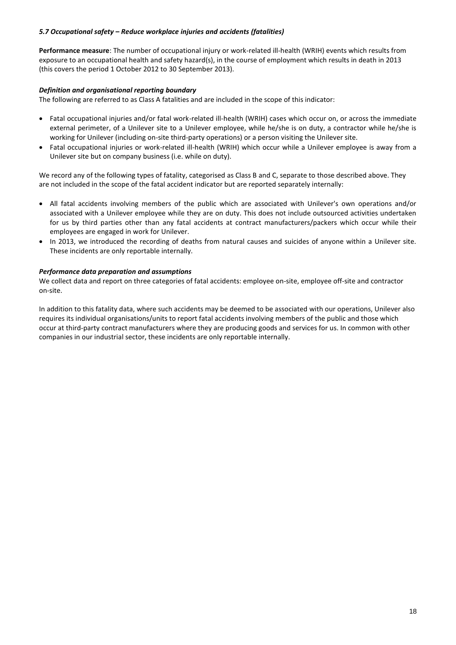# *5.7 Occupational safety – Reduce workplace injuries and accidents (fatalities)*

**Performance measure**: The number of occupational injury or work-related ill-health (WRIH) events which results from exposure to an occupational health and safety hazard(s), in the course of employment which results in death in 2013 (this covers the period 1 October 2012 to 30 September 2013).

### *Definition and organisational reporting boundary*

The following are referred to as Class A fatalities and are included in the scope of this indicator:

- Fatal occupational injuries and/or fatal work-related ill-health (WRIH) cases which occur on, or across the immediate external perimeter, of a Unilever site to a Unilever employee, while he/she is on duty, a contractor while he/she is working for Unilever (including on-site third-party operations) or a person visiting the Unilever site.
- Fatal occupational injuries or work-related ill-health (WRIH) which occur while a Unilever employee is away from a Unilever site but on company business (i.e. while on duty).

We record any of the following types of fatality, categorised as Class B and C, separate to those described above. They are not included in the scope of the fatal accident indicator but are reported separately internally:

- All fatal accidents involving members of the public which are associated with Unilever's own operations and/or associated with a Unilever employee while they are on duty. This does not include outsourced activities undertaken for us by third parties other than any fatal accidents at contract manufacturers/packers which occur while their employees are engaged in work for Unilever.
- In 2013, we introduced the recording of deaths from natural causes and suicides of anyone within a Unilever site. These incidents are only reportable internally.

### *Performance data preparation and assumptions*

We collect data and report on three categories of fatal accidents: employee on-site, employee off-site and contractor on‐site.

In addition to this fatality data, where such accidents may be deemed to be associated with our operations, Unilever also requires its individual organisations/units to report fatal accidents involving members of the public and those which occur at third‐party contract manufacturers where they are producing goods and services for us. In common with other companies in our industrial sector, these incidents are only reportable internally.